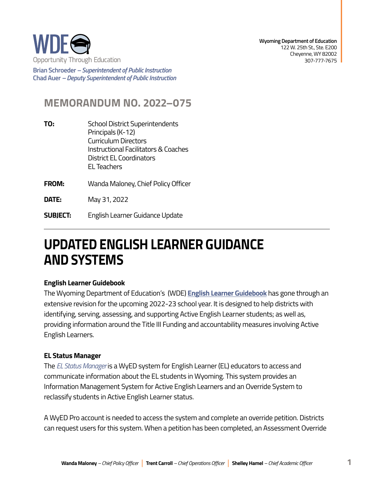

**Brian Schroeder –***Superintendent of Public Instruction*  **Chad Auer** *– Deputy Superintendent of Public Instruction* 

# **MEMORANDUM NO. 2022–075**

- **TO:** School District Superintendents Principals (K-12) Curriculum Directors Instructional Facilitators & Coaches District EL Coordinators EL Teachers
- **FROM:** Wanda Maloney, Chief Policy Officer

**DATE:** May 31, 2022

**SUBJECT:** English Learner Guidance Update

# **UPDATED ENGLISH LEARNER GUIDANCE AND SYSTEMS**

#### **English Learner Guidebook**

The Wyoming Department of Education's (WDE) **[English Learner Guidebook](https://edu.wyoming.gov/wp-content/uploads/2022/05/ELL-Guidebook.pdf)** has gone through an extensive revision for the upcoming 2022-23 school year. It is designed to help districts with identifying, serving, assessing, and supporting Active English Learner students; as well as, providing information around the Title III Funding and accountability measures involving Active English Learners.

### **EL Status Manager**

The *[EL Status Manager](https://portals.edu.wyoming.gov/WINDS/ELStatus)* is a WyED system for English Learner (EL) educators to access and communicate information about the EL students in Wyoming. This system provides an Information Management System for Active English Learners and an Override System to reclassify students in Active English Learner status.

A WyED Pro account is needed to access the system and complete an override petition. Districts can request users for this system. When a petition has been completed, an Assessment Override